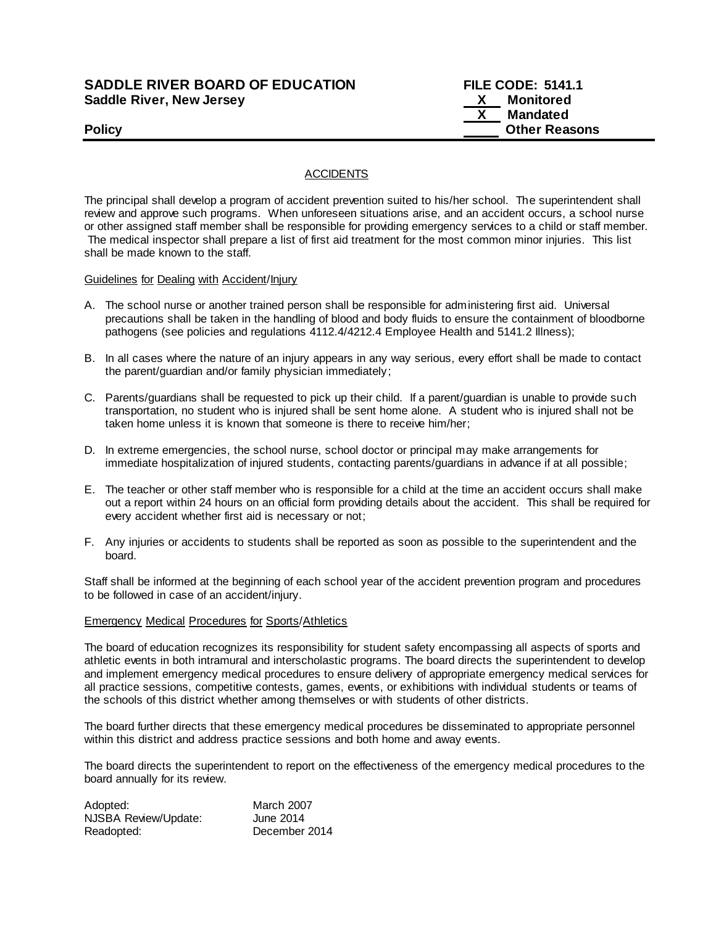## **SADDLE RIVER BOARD OF EDUCATION FILE CODE: 5141.1 Saddle River, New Jersey X Monitored**

# **X Mandated Policy Policy Policy Other Reasons**

**ACCIDENTS** 

The principal shall develop a program of accident prevention suited to his/her school. The superintendent shall review and approve such programs. When unforeseen situations arise, and an accident occurs, a school nurse or other assigned staff member shall be responsible for providing emergency services to a child or staff member. The medical inspector shall prepare a list of first aid treatment for the most common minor injuries. This list shall be made known to the staff.

Guidelines for Dealing with Accident/Injury

- A. The school nurse or another trained person shall be responsible for administering first aid. Universal precautions shall be taken in the handling of blood and body fluids to ensure the containment of bloodborne pathogens (see policies and regulations 4112.4/4212.4 Employee Health and 5141.2 Illness);
- B. In all cases where the nature of an injury appears in any way serious, every effort shall be made to contact the parent/guardian and/or family physician immediately;
- C. Parents/guardians shall be requested to pick up their child. If a parent/guardian is unable to provide such transportation, no student who is injured shall be sent home alone. A student who is injured shall not be taken home unless it is known that someone is there to receive him/her;
- D. In extreme emergencies, the school nurse, school doctor or principal may make arrangements for immediate hospitalization of injured students, contacting parents/guardians in advance if at all possible;
- E. The teacher or other staff member who is responsible for a child at the time an accident occurs shall make out a report within 24 hours on an official form providing details about the accident. This shall be required for every accident whether first aid is necessary or not;
- F. Any injuries or accidents to students shall be reported as soon as possible to the superintendent and the board.

Staff shall be informed at the beginning of each school year of the accident prevention program and procedures to be followed in case of an accident/injury.

#### Emergency Medical Procedures for Sports/Athletics

The board of education recognizes its responsibility for student safety encompassing all aspects of sports and athletic events in both intramural and interscholastic programs. The board directs the superintendent to develop and implement emergency medical procedures to ensure delivery of appropriate emergency medical services for all practice sessions, competitive contests, games, events, or exhibitions with individual students or teams of the schools of this district whether among themselves or with students of other districts.

The board further directs that these emergency medical procedures be disseminated to appropriate personnel within this district and address practice sessions and both home and away events.

The board directs the superintendent to report on the effectiveness of the emergency medical procedures to the board annually for its review.

| Adopted:             | <b>March 2007</b> |
|----------------------|-------------------|
| NJSBA Review/Update: | June 2014         |
| Readopted:           | December 2014     |